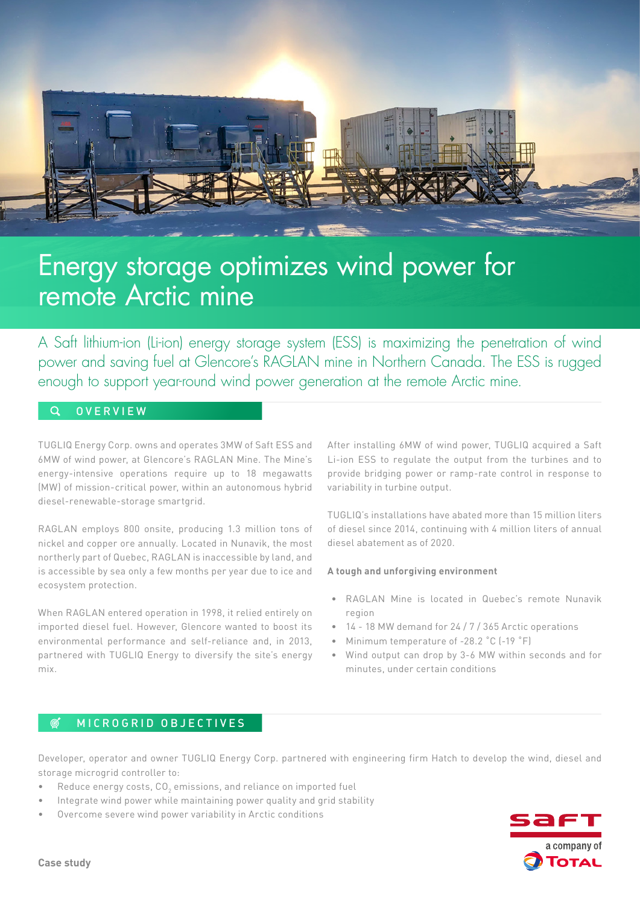

# Energy storage optimizes wind power for remote Arctic mine

A Saft lithium-ion (Li-ion) energy storage system (ESS) is maximizing the penetration of wind power and saving fuel at Glencore's RAGLAN mine in Northern Canada. The ESS is rugged enough to support year-round wind power generation at the remote Arctic mine.

#### $\Omega$ **OVERVIEW**

TUGLIQ Energy Corp. owns and operates 3MW of Saft ESS and 6MW of wind power, at Glencore's RAGLAN Mine. The Mine's energy-intensive operations require up to 18 megawatts (MW) of mission-critical power, within an autonomous hybrid diesel-renewable-storage smartgrid.

RAGLAN employs 800 onsite, producing 1.3 million tons of nickel and copper ore annually. Located in Nunavik, the most northerly part of Quebec, RAGLAN is inaccessible by land, and is accessible by sea only a few months per year due to ice and ecosystem protection.

When RAGLAN entered operation in 1998, it relied entirely on imported diesel fuel. However, Glencore wanted to boost its environmental performance and self-reliance and, in 2013, partnered with TUGLIQ Energy to diversify the site's energy mix.

After installing 6MW of wind power, TUGLIQ acquired a Saft Li-ion ESS to regulate the output from the turbines and to provide bridging power or ramp-rate control in response to variability in turbine output.

TUGLIQ's installations have abated more than 15 million liters of diesel since 2014, continuing with 4 million liters of annual diesel abatement as of 2020.

## **A tough and unforgiving environment**

- RAGLAN Mine is located in Quebec's remote Nunavik region
- 14 18 MW demand for 24 / 7 / 365 Arctic operations
- Minimum temperature of -28.2 °C (-19 °F)
- Wind output can drop by 3-6 MW within seconds and for minutes, under certain conditions

#### $\mathfrak{G}^{\!\star}$ MICROGRID OBJECTIVES

Developer, operator and owner TUGLIQ Energy Corp. partnered with engineering firm Hatch to develop the wind, diesel and storage microgrid controller to:

- $\bullet$  Reduce energy costs, CO $_2$  emissions, and reliance on imported fuel
- Integrate wind power while maintaining power quality and grid stability
- Overcome severe wind power variability in Arctic conditions